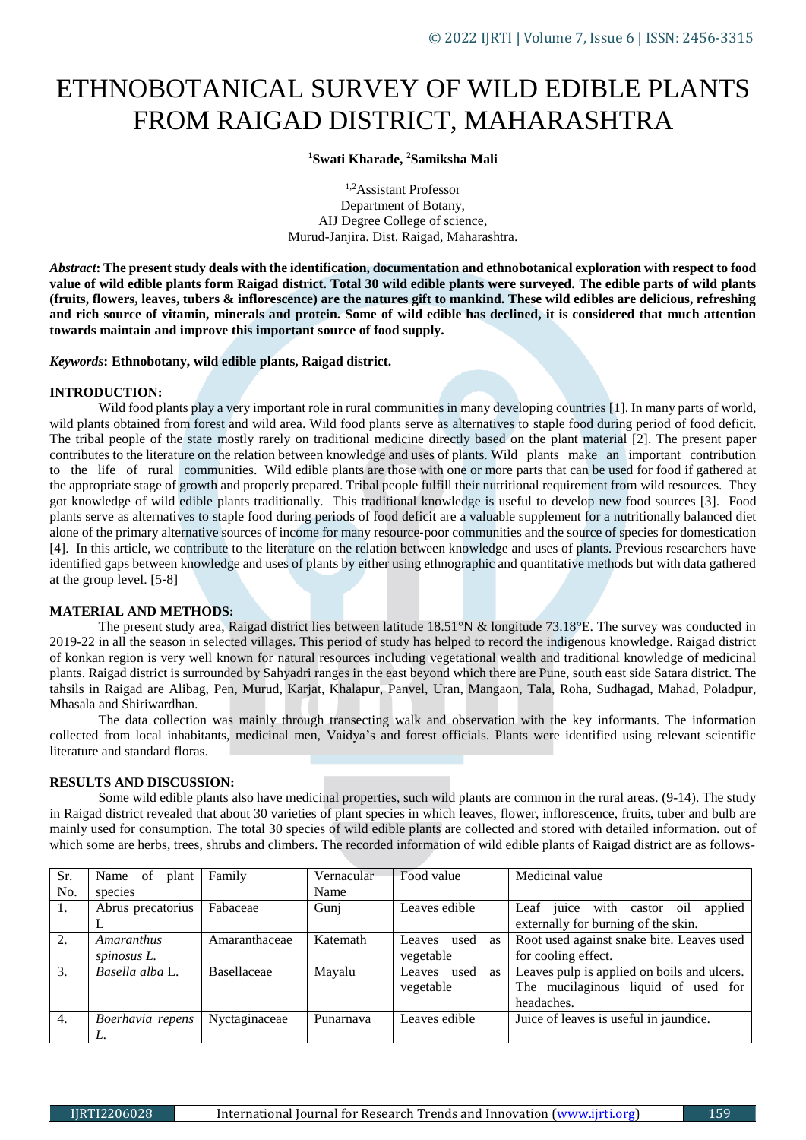# ETHNOBOTANICAL SURVEY OF WILD EDIBLE PLANTS FROM RAIGAD DISTRICT, MAHARASHTRA

**<sup>1</sup>Swati Kharade, <sup>2</sup>Samiksha Mali**

1,2Assistant Professor Department of Botany, AIJ Degree College of science, Murud-Janjira. Dist. Raigad, Maharashtra.

*Abstract***: The present study deals with the identification, documentation and ethnobotanical exploration with respect to food value of wild edible plants form Raigad district. Total 30 wild edible plants were surveyed. The edible parts of wild plants (fruits, flowers, leaves, tubers & inflorescence) are the natures gift to mankind. These wild edibles are delicious, refreshing and rich source of vitamin, minerals and protein. Some of wild edible has declined, it is considered that much attention towards maintain and improve this important source of food supply.**

*Keywords***: Ethnobotany, wild edible plants, Raigad district.**

#### **INTRODUCTION:**

Wild food plants play a very important role in rural communities in many developing countries [1]. In many parts of world, wild plants obtained from forest and wild area. Wild food plants serve as alternatives to staple food during period of food deficit. The tribal people of the state mostly rarely on traditional medicine directly based on the plant material [2]. The present paper contributes to the literature on the relation between knowledge and uses of plants. Wild plants make an important contribution to the life of rural communities. Wild edible plants are those with one or more parts that can be used for food if gathered at the appropriate stage of growth and properly prepared. Tribal people fulfill their nutritional requirement from wild resources. They got knowledge of wild edible plants traditionally. This traditional knowledge is useful to develop new food sources [3]. Food plants serve as alternatives to staple food during periods of food deficit are a valuable supplement for a nutritionally balanced diet alone of the primary alternative sources of income for many resource‑poor communities and the source of species for domestication [4]. In this article, we contribute to the literature on the relation between knowledge and uses of plants. Previous researchers have identified gaps between knowledge and uses of plants by either using ethnographic and quantitative methods but with data gathered at the group level. [5‑8]

## **MATERIAL AND METHODS:**

The present study area, Raigad district lies between latitude 18.51°N & longitude 73.18°E. The survey was conducted in 2019-22 in all the season in selected villages. This period of study has helped to record the indigenous knowledge. Raigad district of konkan region is very well known for natural resources including vegetational wealth and traditional knowledge of medicinal plants. Raigad district is surrounded by Sahyadri ranges in the east beyond which there are Pune, south east side Satara district. The tahsils in Raigad are Alibag, Pen, Murud, Karjat, Khalapur, Panvel, Uran, Mangaon, Tala, Roha, Sudhagad, Mahad, Poladpur, Mhasala and Shiriwardhan.

The data collection was mainly through transecting walk and observation with the key informants. The information collected from local inhabitants, medicinal men, Vaidya's and forest officials. Plants were identified using relevant scientific literature and standard floras.

## **RESULTS AND DISCUSSION:**

Some wild edible plants also have medicinal properties, such wild plants are common in the rural areas. (9-14). The study in Raigad district revealed that about 30 varieties of plant species in which leaves, flower, inflorescence, fruits, tuber and bulb are mainly used for consumption. The total 30 species of wild edible plants are collected and stored with detailed information. out of which some are herbs, trees, shrubs and climbers. The recorded information of wild edible plants of Raigad district are as follows-

| Sr. | Name of<br>plant  | Family        | Vernacular | Food value                  | Medicinal value                             |
|-----|-------------------|---------------|------------|-----------------------------|---------------------------------------------|
| No. | species           |               | Name       |                             |                                             |
| 1.  | Abrus precatorius | Fabaceae      | Gunj       | Leaves edible               | Leaf juice with castor oil<br>applied       |
|     |                   |               |            |                             | externally for burning of the skin.         |
| 2.  | Amaranthus        | Amaranthaceae | Katemath   | used<br>Leaves<br><b>as</b> | Root used against snake bite. Leaves used   |
|     | spinosus L.       |               |            | vegetable                   | for cooling effect.                         |
| 3.  | Basella alba L.   | Basellaceae   | Mayalu     | used<br>Leaves<br><b>as</b> | Leaves pulp is applied on boils and ulcers. |
|     |                   |               |            | vegetable                   | The mucilaginous liquid of used for         |
|     |                   |               |            |                             | headaches.                                  |
| 4.  | Boerhavia repens  | Nyctaginaceae | Punarnava  | Leaves edible               | Juice of leaves is useful in jaundice.      |
|     |                   |               |            |                             |                                             |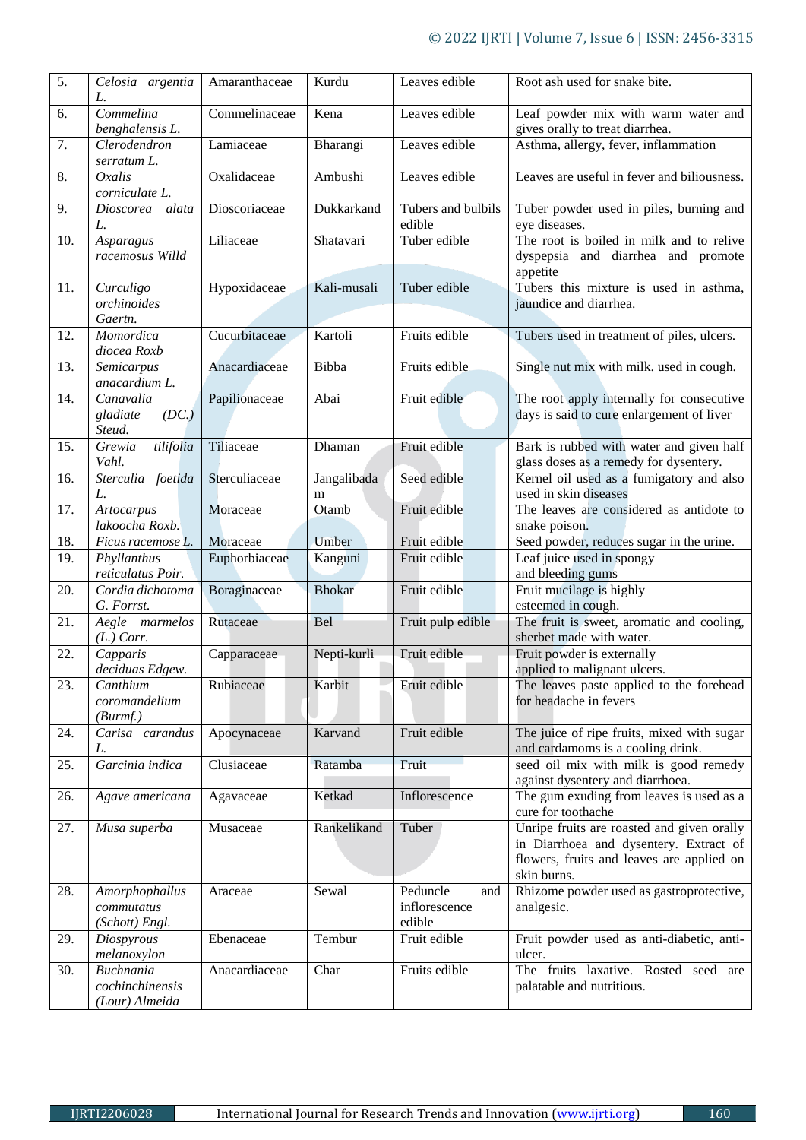| $\overline{5}$ . | Celosia argentia<br>L.                                | Amaranthaceae | Kurdu            | Leaves edible                              | Root ash used for snake bite.                                                                                                                    |
|------------------|-------------------------------------------------------|---------------|------------------|--------------------------------------------|--------------------------------------------------------------------------------------------------------------------------------------------------|
| 6.               | Commelina<br>benghalensis L.                          | Commelinaceae | Kena             | Leaves edible                              | Leaf powder mix with warm water and<br>gives orally to treat diarrhea.                                                                           |
| 7.               | Clerodendron<br>serratum L.                           | Lamiaceae     | Bharangi         | Leaves edible                              | Asthma, allergy, fever, inflammation                                                                                                             |
| 8.               | Oxalis<br>corniculate L.                              | Oxalidaceae   | Ambushi          | Leaves edible                              | Leaves are useful in fever and biliousness.                                                                                                      |
| 9.               | Dioscorea alata<br>L.                                 | Dioscoriaceae | Dukkarkand       | Tubers and bulbils<br>edible               | Tuber powder used in piles, burning and<br>eye diseases.                                                                                         |
| 10.              | Asparagus<br>racemosus Willd                          | Liliaceae     | Shatavari        | Tuber edible                               | The root is boiled in milk and to relive<br>dyspepsia and diarrhea and promote<br>appetite                                                       |
| 11.              | Curculigo<br>orchinoides<br>Gaertn.                   | Hypoxidaceae  | Kali-musali      | Tuber edible                               | Tubers this mixture is used in asthma,<br>jaundice and diarrhea.                                                                                 |
| 12.              | Momordica<br>diocea Roxb                              | Cucurbitaceae | Kartoli          | Fruits edible                              | Tubers used in treatment of piles, ulcers.                                                                                                       |
| 13.              | Semicarpus<br>anacardium L.                           | Anacardiaceae | Bibba            | Fruits edible                              | Single nut mix with milk. used in cough.                                                                                                         |
| 14.              | Canavalia<br>gladiate<br>(DC.)<br>Steud.              | Papilionaceae | Abai             | Fruit edible                               | The root apply internally for consecutive<br>days is said to cure enlargement of liver                                                           |
| 15.              | Grewia<br>tilifolia<br>Vahl.                          | Tiliaceae     | Dhaman           | Fruit edible                               | Bark is rubbed with water and given half<br>glass doses as a remedy for dysentery.                                                               |
| 16.              | Sterculia foetida<br>L.                               | Sterculiaceae | Jangalibada<br>m | Seed edible                                | Kernel oil used as a fumigatory and also<br>used in skin diseases                                                                                |
| 17.              | Artocarpus<br>lakoocha Roxb.                          | Moraceae      | Otamb            | Fruit edible                               | The leaves are considered as antidote to<br>snake poison.                                                                                        |
| 18.              | Ficus racemose L.                                     | Moraceae      | Umber            | Fruit edible                               | Seed powder, reduces sugar in the urine.                                                                                                         |
| 19.              | Phyllanthus<br>reticulatus Poir.                      | Euphorbiaceae | Kanguni          | Fruit edible                               | Leaf juice used in spongy<br>and bleeding gums                                                                                                   |
| 20.              | Cordia dichotoma<br>G. Forrst.                        | Boraginaceae  | <b>Bhokar</b>    | Fruit edible                               | Fruit mucilage is highly<br>esteemed in cough.                                                                                                   |
| 21.              | Aegle marmelos<br>$(L.)$ Corr.                        | Rutaceae      | <b>Bel</b>       | Fruit pulp edible                          | The fruit is sweet, aromatic and cooling,<br>sherbet made with water.                                                                            |
| 22.              | Capparis<br>deciduas Edgew.                           | Capparaceae   | Nepti-kurli      | Fruit edible                               | Fruit powder is externally<br>applied to malignant ulcers.                                                                                       |
| 23.              | Canthium<br>coromandelium<br>(Burm f.)                | Rubiaceae     | Karbit           | Fruit edible                               | The leaves paste applied to the forehead<br>for headache in fevers                                                                               |
| 24.              | Carisa carandus<br>L.                                 | Apocynaceae   | Karvand          | Fruit edible                               | The juice of ripe fruits, mixed with sugar<br>and cardamoms is a cooling drink.                                                                  |
| 25.              | Garcinia indica                                       | Clusiaceae    | Ratamba          | Fruit                                      | seed oil mix with milk is good remedy<br>against dysentery and diarrhoea.                                                                        |
| 26.              | Agave americana                                       | Agavaceae     | Ketkad           | Inflorescence                              | The gum exuding from leaves is used as a<br>cure for toothache                                                                                   |
| 27.              | Musa superba                                          | Musaceae      | Rankelikand      | Tuber                                      | Unripe fruits are roasted and given orally<br>in Diarrhoea and dysentery. Extract of<br>flowers, fruits and leaves are applied on<br>skin burns. |
| 28.              | Amorphophallus<br>commutatus<br>(Schott) Engl.        | Araceae       | Sewal            | Peduncle<br>and<br>inflorescence<br>edible | Rhizome powder used as gastroprotective,<br>analgesic.                                                                                           |
| 29.              | Diospyrous<br>melanoxylon                             | Ebenaceae     | Tembur           | Fruit edible                               | Fruit powder used as anti-diabetic, anti-<br>ulcer.                                                                                              |
| 30.              | <b>Buchnania</b><br>cochinchinensis<br>(Lour) Almeida | Anacardiaceae | Char             | Fruits edible                              | The fruits laxative. Rosted seed are<br>palatable and nutritious.                                                                                |